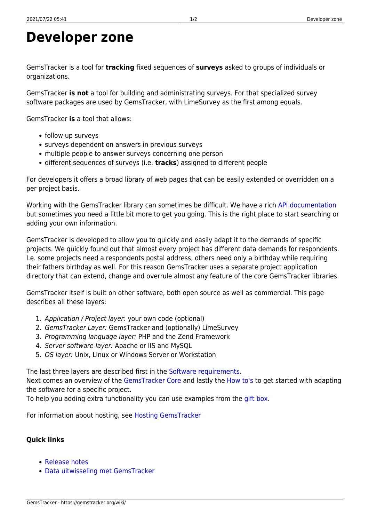## **Developer zone**

GemsTracker is a tool for **tracking** fixed sequences of **surveys** asked to groups of individuals or organizations.

GemsTracker **is not** a tool for building and administrating surveys. For that specialized survey software packages are used by GemsTracker, with LimeSurvey as the first among equals.

GemsTracker **is** a tool that allows:

- follow up surveys
- surveys dependent on answers in previous surveys
- multiple people to answer surveys concerning one person
- different sequences of surveys (i.e. **tracks**) assigned to different people

For developers it offers a broad library of web pages that can be easily extended or overridden on a per project basis.

Working with the GemsTracker library can sometimes be difficult. We have a rich [API documentation](http://gemstracker.org/api) but sometimes you need a little bit more to get you going. This is the right place to start searching or adding your own information.

GemsTracker is developed to allow you to quickly and easily adapt it to the demands of specific projects. We quickly found out that almost every project has different data demands for respondents. I.e. some projects need a respondents postal address, others need only a birthday while requiring their fathers birthday as well. For this reason GemsTracker uses a separate project application directory that can extend, change and overrule almost any feature of the core GemsTracker libraries.

GemsTracker itself is built on other software, both open source as well as commercial. This page describes all these layers:

- 1. Application / Project layer: your own code (optional)
- 2. GemsTracker Layer: GemsTracker and (optionally) LimeSurvey
- 3. Programming language layer: PHP and the Zend Framework
- 4. Server software layer: Apache or IIS and MySQL
- 5. OS layer: Unix, Linux or Windows Server or Workstation

The last three layers are described first in the [Software requirements.](https://gemstracker.org/wiki/doku.php?id=devzone:requirements:softwarerequirements)

Next comes an overview of the [GemsTracker Core](https://gemstracker.org/wiki/doku.php?id=devzone:gemstrackercore) and lastly the [How to's](https://gemstracker.org/wiki/doku.php?id=devzone:howto:start) to get started with adapting the software for a specific project.

To help you adding extra functionality you can use examples from the [gift box](https://gemstracker.org/wiki/doku.php?id=devzone:giftbox).

For information about hosting, see [Hosting GemsTracker](https://gemstracker.org/wiki/doku.php?id=devzone:requirements:hosting)

## **Quick links**

- [Release notes](https://gemstracker.org/wiki/doku.php?id=devzone:releasenotes)
- [Data uitwisseling met GemsTracker](https://gemstracker.org/wiki/doku.php?id=devzone:data_echange_with_gemstracker)